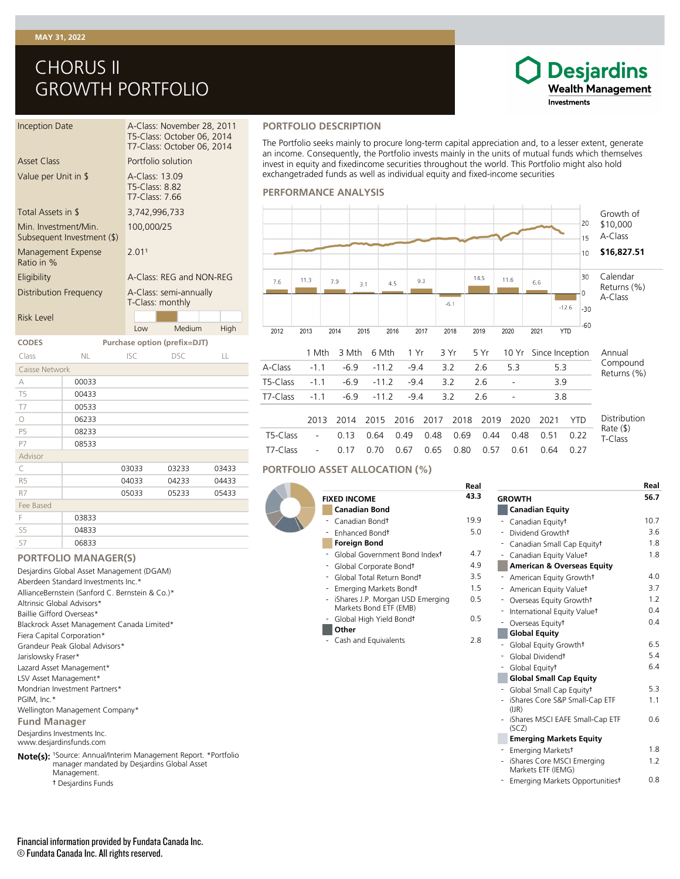# CHORUS II GROWTH PORTFOLIO

### **Desjardins Wealth Management** Investments

| <b>Inception Date</b>                              |    | A-Class: November 28, 2011<br>T5-Class: October 06, 2014<br>T7-Class: October 06, 2014 |                              |      |  |  |  |  |
|----------------------------------------------------|----|----------------------------------------------------------------------------------------|------------------------------|------|--|--|--|--|
| <b>Asset Class</b>                                 |    | Portfolio solution                                                                     |                              |      |  |  |  |  |
| Value per Unit in \$                               |    | A-Class: 13.09<br>T5-Class: 8.82<br>T7-Class: 7.66                                     |                              |      |  |  |  |  |
| Total Assets in \$                                 |    | 3,742,996,733                                                                          |                              |      |  |  |  |  |
| Min. Investment/Min.<br>Subsequent Investment (\$) |    | 100,000/25                                                                             |                              |      |  |  |  |  |
| Management Expense<br>Ratio in %                   |    | 2.011                                                                                  |                              |      |  |  |  |  |
| Eligibility                                        |    | A-Class: REG and NON-REG                                                               |                              |      |  |  |  |  |
| Distribution Frequency                             |    | A-Class: semi-annually<br>T-Class: monthly                                             |                              |      |  |  |  |  |
| <b>Risk Level</b>                                  |    |                                                                                        |                              |      |  |  |  |  |
|                                                    |    | Low                                                                                    | Medium                       | High |  |  |  |  |
| <b>CODES</b>                                       |    |                                                                                        | Purchase option (prefix=DJT) |      |  |  |  |  |
| Class                                              | ΝL | <b>ISC</b>                                                                             | DSC.                         | Ш    |  |  |  |  |
| Caisse Network                                     |    |                                                                                        |                              |      |  |  |  |  |

| Caisse Network |       |       |       |       |
|----------------|-------|-------|-------|-------|
| A              | 00033 |       |       |       |
| T <sub>5</sub> | 00433 |       |       |       |
| T7             | 00533 |       |       |       |
| $\bigcirc$     | 06233 |       |       |       |
| P <sub>5</sub> | 08233 |       |       |       |
| P7             | 08533 |       |       |       |
| Advisor        |       |       |       |       |
| C              |       | 03033 | 03233 | 03433 |
| R <sub>5</sub> |       | 04033 | 04233 | 04433 |
| R7             |       | 05033 | 05233 | 05433 |
| Fee Based      |       |       |       |       |
| F              | 03833 |       |       |       |
| S <sub>5</sub> | 04833 |       |       |       |
| <b>S7</b>      | 06833 |       |       |       |

#### **PORTFOLIO MANAGER(S)**

Desjardins Investments Inc. www.desjardinsfunds.com **Fund Manager** Desjardins Global Asset Management (DGAM) Aberdeen Standard Investments Inc.\* AllianceBernstein (Sanford C. Bernstein & Co.)\* Altrinsic Global Advisors\* Baillie Gifford Overseas\* Blackrock Asset Management Canada Limited\* Fiera Capital Corporation\* Grandeur Peak Global Advisors\* Jarislowsky Fraser\* Lazard Asset Management\* LSV Asset Management\* Mondrian Investment Partners\* PGIM, Inc.\* Wellington Management Company\*

**Note(s):** <sup>1</sup>Source: Annual/Interim Management Report. \*Portfolio manager mandated by Desjardins Global Asset Management.

† Desjardins Funds

#### **PORTFOLIO DESCRIPTION**

The Portfolio seeks mainly to procure long-term capital appreciation and, to a lesser extent, generate an income. Consequently, the Portfolio invests mainly in the units of mutual funds which themselves invest in equity and fixedincome securities throughout the world. This Portfolio might also hold exchangetraded funds as well as individual equity and fixed-income securities

#### **PERFORMANCE ANALYSIS**

|          |                |      |        |         |        |      |        |      |       |      |                 | 20<br>15<br>10 | Growth of<br>\$10,000<br>A-Class<br>\$16,827.51 |
|----------|----------------|------|--------|---------|--------|------|--------|------|-------|------|-----------------|----------------|-------------------------------------------------|
| 7.6      | 11.3           | 7.9  | 3.1    | 4.5     |        | 9.3  |        | 14.5 | 11.6  | 6.6  |                 | 30<br>0        | Calendar<br>Returns (%)                         |
|          |                |      |        |         |        |      | $-6.1$ |      |       |      | $-12.6$         | $-30$          | A-Class                                         |
| 2012     | 2013           | 2014 | 2015   | 2016    |        | 2017 | 2018   | 2019 | 2020  | 2021 | <b>YTD</b>      | $-60$          |                                                 |
|          | 1 Mth          |      | 3 Mth  | 6 Mth   | 1 Yr   |      | 3 Yr   | 5 Yr | 10 Yr |      | Since Inception |                | Annual                                          |
| A-Class  | $-1.1$         |      | $-6.9$ | $-11.2$ | $-9.4$ |      | 3.2    | 2.6  | 5.3   |      | 5.3             |                | Compound<br>Returns (%)                         |
| T5-Class | $-1.1$         |      | $-6.9$ | $-11.2$ | $-9.4$ |      | 3.2    | 2.6  |       |      | 3.9             |                |                                                 |
| T7-Class | $-1.1$         |      | $-6.9$ | $-11.2$ | $-9.4$ |      | 3.2    | 2.6  |       |      | 3.8             |                |                                                 |
|          | 2013           | 2014 | 2015   |         | 2016   | 2017 | 2018   | 2019 | 2020  | 2021 |                 | <b>YTD</b>     | Distribution                                    |
| T5-Class | $\overline{a}$ | 0.13 | 0.64   |         | 0.49   | 0.48 | 0.69   | 0.44 | 0.48  | 0.51 |                 | 0.22           | Rate $($ \$)<br>T-Class                         |
| T7-Class | $\overline{a}$ | 0.17 | 0.70   |         | 0.67   | 0.65 | 0.80   | 0.57 | 0.61  | 0.64 |                 | 0.27           |                                                 |

### **PORTFOLIO ASSET ALLOCATION (%)**

|                                          | Real |                                                    | Real |
|------------------------------------------|------|----------------------------------------------------|------|
| <b>FIXED INCOME</b>                      | 43.3 | <b>GROWTH</b>                                      | 56.7 |
| <b>Canadian Bond</b>                     |      | <b>Canadian Equity</b>                             |      |
| Canadian Bond <sup>+</sup>               | 19.9 | - Canadian Equity <sup>†</sup>                     | 10.7 |
| Enhanced Bond <sup>+</sup><br>۰          | 5.0  | - Dividend Growtht                                 | 3.6  |
| <b>Foreign Bond</b>                      |      | Canadian Small Cap Equity <sup>t</sup>             | 1.8  |
| - Global Government Bond Indext          | 4.7  | - Canadian Equity Valuet                           | 1.8  |
| Global Corporate Bond <sup>+</sup><br>۰. | 4.9  | <b>American &amp; Overseas Equity</b>              |      |
| Global Total Return Bond <sup>+</sup>    | 3.5  | - American Equity Growtht                          | 4.0  |
| Emerging Markets Bondt                   | 1.5  | - American Equity Valuet                           | 3.7  |
| iShares J.P. Morgan USD Emerging         | 0.5  | Overseas Equity Growth+                            | 1.2  |
| Markets Bond ETF (EMB)                   |      | International Equity Valuet                        | 0.4  |
| Global High Yield Bondt<br>٠             | 0.5  | Overseas Equity <sup>+</sup>                       | 0.4  |
| Other                                    |      | <b>Global Equity</b>                               |      |
| Cash and Equivalents                     | 2.8  | Global Equity Growth <sup>+</sup>                  | 6.5  |
|                                          |      | Global Dividend <sup>t</sup>                       | 5.4  |
|                                          |      | Global Equity <sup>†</sup>                         | 6.4  |
|                                          |      | <b>Global Small Cap Equity</b>                     |      |
|                                          |      | Global Small Cap Equity <sup>†</sup>               | 5.3  |
|                                          |      | iShares Core S&P Small-Cap ETF<br>(IIR)            | 1.1  |
|                                          |      | - iShares MSCI EAFE Small-Cap ETF<br>(SCZ)         | 0.6  |
|                                          |      | <b>Emerging Markets Equity</b>                     |      |
|                                          |      | Emerging Marketst                                  | 1.8  |
|                                          |      | - iShares Core MSCI Emerging<br>Markets ETF (IEMG) | 1.2  |
|                                          |      | - Emerging Markets Opportunitiest                  | 0.8  |